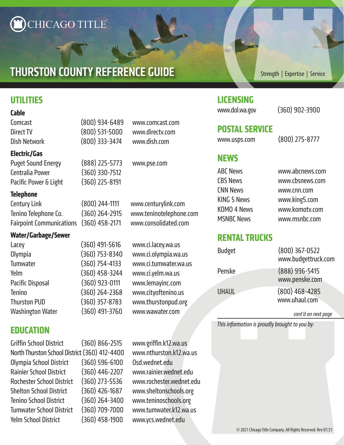# CHICAGO TITLE®

# THURSTON COUNTY REFERENCE GUIDE

# **Thurston County Reference Guide UTILITIES**

#### **Cable**

#### **Electric/Gas**

Puget Sound Energy (888) 225-5773 www.pse.com Centralia Power (360) 330-7512 Pacific Power & Light (360) 225-8191

#### **Telephone**

| Century Link                       | $(800)$ 244 |
|------------------------------------|-------------|
| Tenino Telephone Co.               | $(360)$ 264 |
| Fairpoint Communications (360) 458 |             |

### **Water/Garbage/Sewer**

| Lacey                   | $(360)$ 49 |
|-------------------------|------------|
| Olympia                 | $(360)$ 75 |
| Tumwater                | $(360)$ 75 |
| Yelm                    | $(360)$ 45 |
| <b>Pacific Disposal</b> | (360)92    |
| <b>Tenino</b>           | $(360)$ 26 |
| <b>Thurston PUD</b>     | (360)35    |
| <b>Washington Water</b> | $(360)$ 49 |
|                         |            |

## **EDUCATION**

| Griffin School District                       | $(360) 866 - 2515$ |
|-----------------------------------------------|--------------------|
| North Thurston School District (360) 412-440( |                    |
| Olympia School District                       | $(360)$ 596-6100   |
| <b>Rainier School District</b>                | $(360)$ 446-2207   |
| Rochester School District                     | $(360)$ 273-5536   |
| <b>Shelton School District</b>                | $(360)$ 426-1687   |
| <b>Tenino School District</b>                 | $(360)$ 264-3400   |
| Tumwater School District                      | $(360)$ 709-7000   |
| Yelm School District                          | (360) 458-1900     |
|                                               |                    |

Comcast (800) 934-6489 www.comcast.com Direct TV (800) 531-5000 www.directv.com Dish Network (800) 333-3474 www.dish.com

4-1111 www.centurylink.com 4-2915 www.teninotelephone.com Fairpoint Communications (360) 458-2171 www.consolidated.com

91-5616 www.ci.lacey.wa.us  $63-8340$  www.ci.olympia.wa.us Tumwater (360) 754-4133 www.ci.tumwater.wa.us 58-3244 www.ci.yelm.wa.us 23-0111 www.lemayinc.com 54-2368 www.cityoftenino.us 57-8783 www.thurstonpud.org 91-3760 www.wawater.com

> www.griffin.k12.wa.us 0 www.nthurston.k12.wa.us Osd.wednet.edu www.rainier.wednet.edu www.rochester.wednet.edu www.sheltonschools.org 0 www.teninoschools.org D www.tumwater.k12.wa.us Yelm School District (360) 458-1900 www.ycs.wednet.edu

Strength | Expertise | Service

### **LICENSING**

www.dol.wa.gov (360) 902-3900

# **POSTAL SERVICE**

www.usps.com (800) 275-8777

### **NEWS**

| <b>ABC News</b>    | www.abcnews.com |
|--------------------|-----------------|
| <b>CBS News</b>    | www.cbsnews.com |
| <b>CNN News</b>    | www.cnn.com     |
| <b>KING 5 News</b> | www.king5.com   |
| KOMO 4 News        | www.komotv.com  |
| <b>MSNBC News</b>  | www.msnbc.com   |
|                    |                 |

### **RENTAL TRUCKS**

| <b>Budget</b> | $(800)$ 367-0522<br>www.budgettruck.com |
|---------------|-----------------------------------------|
| Penske        | (888) 996-5415<br>www.penske.com        |
| <b>UHAUL</b>  | $(800)$ 468-4285<br>www.uhaul.com       |

*cont'd on next page*

*This information is proudly brought to you by:*